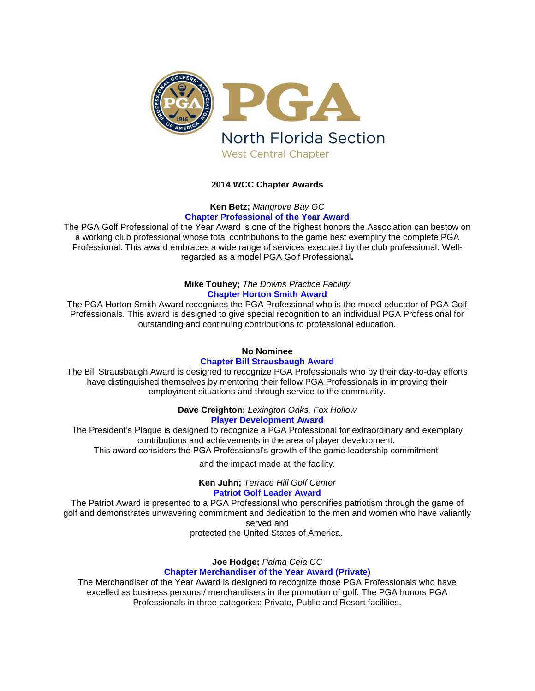

# **2014 WCC Chapter Awards**

# **Ken Betz;** *Mangrove Bay GC* **Chapter Professional of the Year Award**

The PGA Golf Professional of the Year Award is one of the highest honors the Association can bestow on a working club professional whose total contributions to the game best exemplify the complete PGA Professional. This award embraces a wide range of services executed by the club professional. Wellregarded as a model PGA Golf Professional**.**

## **Mike Touhey;** *The Downs Practice Facility* **Chapter Horton Smith Award**

The PGA Horton Smith Award recognizes the PGA Professional who is the model educator of PGA Golf Professionals. This award is designed to give special recognition to an individual PGA Professional for outstanding and continuing contributions to professional education.

# **No Nominee**

## **Chapter Bill Strausbaugh Award**

The Bill Strausbaugh Award is designed to recognize PGA Professionals who by their day-to-day efforts have distinguished themselves by mentoring their fellow PGA Professionals in improving their employment situations and through service to the community.

**Dave Creighton;** *Lexington Oaks, Fox Hollow*

# **Player Development Award**

The President's Plaque is designed to recognize a PGA Professional for extraordinary and exemplary contributions and achievements in the area of player development. This award considers the PGA Professional's growth of the game leadership commitment

and the impact made at the facility.

**Ken Juhn;** *Terrace Hill Golf Center* **Patriot Golf Leader Award**

The Patriot Award is presented to a PGA Professional who personifies patriotism through the game of golf and demonstrates unwavering commitment and dedication to the men and women who have valiantly served and

protected the United States of America.

# **Joe Hodge;** *Palma Ceia CC*

# **Chapter Merchandiser of the Year Award (Private)**

The Merchandiser of the Year Award is designed to recognize those PGA Professionals who have excelled as business persons / merchandisers in the promotion of golf. The PGA honors PGA Professionals in three categories: Private, Public and Resort facilities.